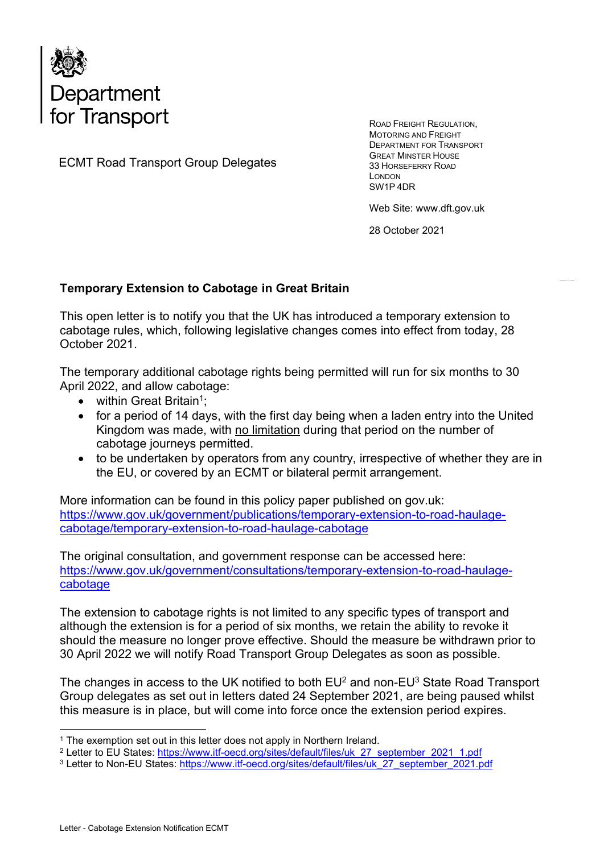

ECMT Road Transport Group Delegates

ROAD FREIGHT REGULATION, MOTORING AND FREIGHT DEPARTMENT FOR TRANSPORT GREAT MINSTER HOUSE 33 HORSEFERRY ROAD LONDON SW1P 4DR

Web Site: www.dft.gov.uk

28 October 2021

## Temporary Extension to Cabotage in Great Britain

This open letter is to notify you that the UK has introduced a temporary extension to cabotage rules, which, following legislative changes comes into effect from today, 28 October 2021.

The temporary additional cabotage rights being permitted will run for six months to 30 April 2022, and allow cabotage:

- $\bullet$  within Great Britain<sup>1</sup>;
- for a period of 14 days, with the first day being when a laden entry into the United Kingdom was made, with no limitation during that period on the number of cabotage journeys permitted.
- to be undertaken by operators from any country, irrespective of whether they are in the EU, or covered by an ECMT or bilateral permit arrangement.

More information can be found in this policy paper published on gov.uk: https://www.gov.uk/government/publications/temporary-extension-to-road-haulagecabotage/temporary-extension-to-road-haulage-cabotage

The original consultation, and government response can be accessed here: https://www.gov.uk/government/consultations/temporary-extension-to-road-haulagecabotage

The extension to cabotage rights is not limited to any specific types of transport and although the extension is for a period of six months, we retain the ability to revoke it should the measure no longer prove effective. Should the measure be withdrawn prior to 30 April 2022 we will notify Road Transport Group Delegates as soon as possible.

The changes in access to the UK notified to both  $EU^2$  and non-EU<sup>3</sup> State Road Transport Group delegates as set out in letters dated 24 September 2021, are being paused whilst this measure is in place, but will come into force once the extension period expires.

<sup>&</sup>lt;sup>1</sup> The exemption set out in this letter does not apply in Northern Ireland.

<sup>&</sup>lt;sup>2</sup> Letter to EU States: https://www.itf-oecd.org/sites/default/files/uk\_27\_september\_2021\_1.pdf

<sup>&</sup>lt;sup>3</sup> Letter to Non-EU States: <u>https://www.itf-oecd.org/sites/default/files/uk\_27\_september\_2021.pdf</u>